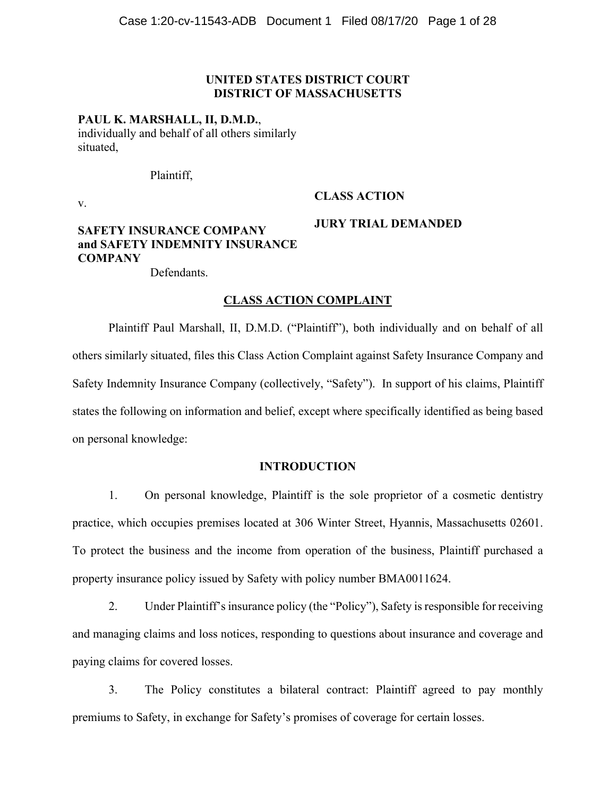## **UNITED STATES DISTRICT COURT DISTRICT OF MASSACHUSETTS**

## **PAUL K. MARSHALL, II, D.M.D.**,

individually and behalf of all others similarly situated,

Plaintiff,

v.

# **CLASS ACTION**

**JURY TRIAL DEMANDED** 

# **SAFETY INSURANCE COMPANY and SAFETY INDEMNITY INSURANCE COMPANY**

Defendants.

## **CLASS ACTION COMPLAINT**

Plaintiff Paul Marshall, II, D.M.D. ("Plaintiff"), both individually and on behalf of all others similarly situated, files this Class Action Complaint against Safety Insurance Company and Safety Indemnity Insurance Company (collectively, "Safety"). In support of his claims, Plaintiff states the following on information and belief, except where specifically identified as being based on personal knowledge:

## **INTRODUCTION**

1. On personal knowledge, Plaintiff is the sole proprietor of a cosmetic dentistry practice, which occupies premises located at 306 Winter Street, Hyannis, Massachusetts 02601. To protect the business and the income from operation of the business, Plaintiff purchased a property insurance policy issued by Safety with policy number BMA0011624.

2. Under Plaintiff's insurance policy (the "Policy"), Safety is responsible for receiving and managing claims and loss notices, responding to questions about insurance and coverage and paying claims for covered losses.

3. The Policy constitutes a bilateral contract: Plaintiff agreed to pay monthly premiums to Safety, in exchange for Safety's promises of coverage for certain losses.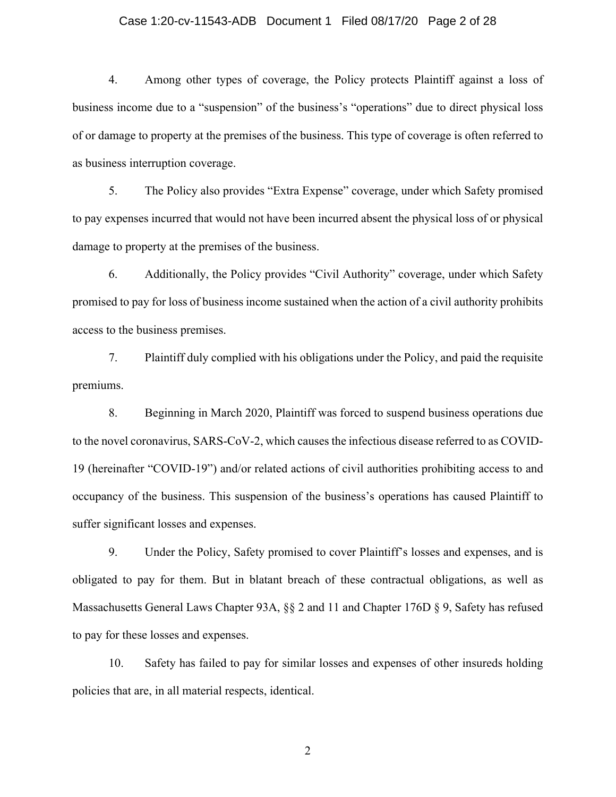## Case 1:20-cv-11543-ADB Document 1 Filed 08/17/20 Page 2 of 28

4. Among other types of coverage, the Policy protects Plaintiff against a loss of business income due to a "suspension" of the business's "operations" due to direct physical loss of or damage to property at the premises of the business. This type of coverage is often referred to as business interruption coverage.

5. The Policy also provides "Extra Expense" coverage, under which Safety promised to pay expenses incurred that would not have been incurred absent the physical loss of or physical damage to property at the premises of the business.

6. Additionally, the Policy provides "Civil Authority" coverage, under which Safety promised to pay for loss of business income sustained when the action of a civil authority prohibits access to the business premises.

7. Plaintiff duly complied with his obligations under the Policy, and paid the requisite premiums.

8. Beginning in March 2020, Plaintiff was forced to suspend business operations due to the novel coronavirus, SARS-CoV-2, which causes the infectious disease referred to as COVID-19 (hereinafter "COVID-19") and/or related actions of civil authorities prohibiting access to and occupancy of the business. This suspension of the business's operations has caused Plaintiff to suffer significant losses and expenses.

9. Under the Policy, Safety promised to cover Plaintiff's losses and expenses, and is obligated to pay for them. But in blatant breach of these contractual obligations, as well as Massachusetts General Laws Chapter 93A, §§ 2 and 11 and Chapter 176D § 9, Safety has refused to pay for these losses and expenses.

10. Safety has failed to pay for similar losses and expenses of other insureds holding policies that are, in all material respects, identical.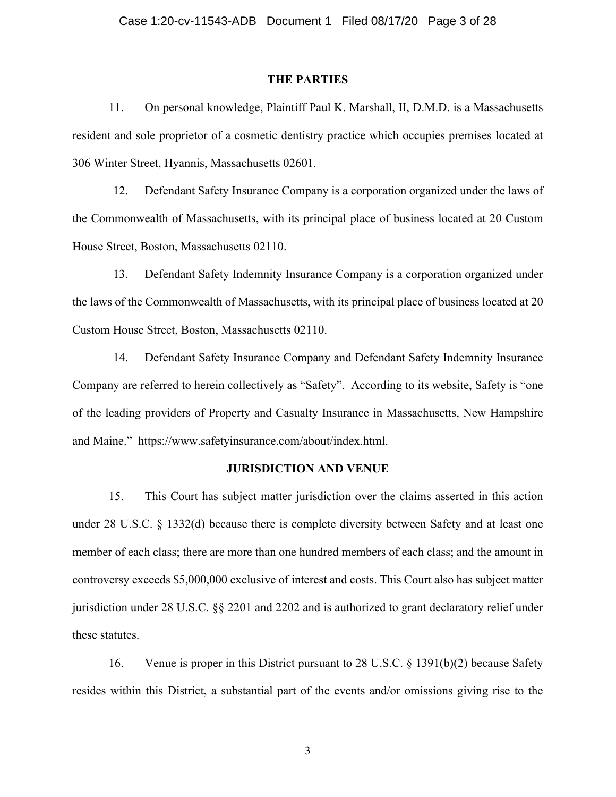#### **THE PARTIES**

11. On personal knowledge, Plaintiff Paul K. Marshall, II, D.M.D. is a Massachusetts resident and sole proprietor of a cosmetic dentistry practice which occupies premises located at 306 Winter Street, Hyannis, Massachusetts 02601.

12. Defendant Safety Insurance Company is a corporation organized under the laws of the Commonwealth of Massachusetts, with its principal place of business located at 20 Custom House Street, Boston, Massachusetts 02110.

13. Defendant Safety Indemnity Insurance Company is a corporation organized under the laws of the Commonwealth of Massachusetts, with its principal place of business located at 20 Custom House Street, Boston, Massachusetts 02110.

14. Defendant Safety Insurance Company and Defendant Safety Indemnity Insurance Company are referred to herein collectively as "Safety". According to its website, Safety is "one of the leading providers of Property and Casualty Insurance in Massachusetts, New Hampshire and Maine." https://www.safetyinsurance.com/about/index.html.

## **JURISDICTION AND VENUE**

15. This Court has subject matter jurisdiction over the claims asserted in this action under 28 U.S.C. § 1332(d) because there is complete diversity between Safety and at least one member of each class; there are more than one hundred members of each class; and the amount in controversy exceeds \$5,000,000 exclusive of interest and costs. This Court also has subject matter jurisdiction under 28 U.S.C. §§ 2201 and 2202 and is authorized to grant declaratory relief under these statutes.

16. Venue is proper in this District pursuant to 28 U.S.C. § 1391(b)(2) because Safety resides within this District, a substantial part of the events and/or omissions giving rise to the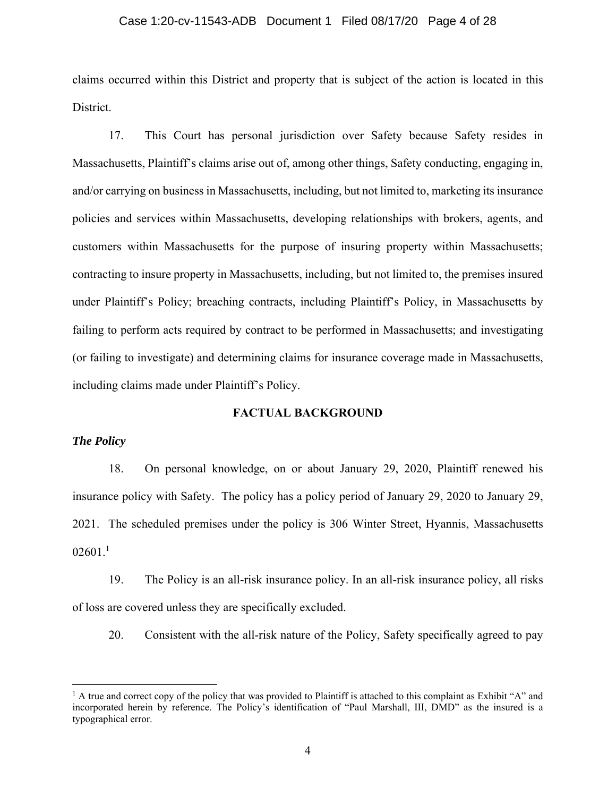#### Case 1:20-cv-11543-ADB Document 1 Filed 08/17/20 Page 4 of 28

claims occurred within this District and property that is subject of the action is located in this District.

17. This Court has personal jurisdiction over Safety because Safety resides in Massachusetts, Plaintiff's claims arise out of, among other things, Safety conducting, engaging in, and/or carrying on business in Massachusetts, including, but not limited to, marketing its insurance policies and services within Massachusetts, developing relationships with brokers, agents, and customers within Massachusetts for the purpose of insuring property within Massachusetts; contracting to insure property in Massachusetts, including, but not limited to, the premises insured under Plaintiff's Policy; breaching contracts, including Plaintiff's Policy, in Massachusetts by failing to perform acts required by contract to be performed in Massachusetts; and investigating (or failing to investigate) and determining claims for insurance coverage made in Massachusetts, including claims made under Plaintiff's Policy.

## **FACTUAL BACKGROUND**

## *The Policy*

18. On personal knowledge, on or about January 29, 2020, Plaintiff renewed his insurance policy with Safety. The policy has a policy period of January 29, 2020 to January 29, 2021. The scheduled premises under the policy is 306 Winter Street, Hyannis, Massachusetts  $02601.<sup>1</sup>$ 

19. The Policy is an all-risk insurance policy. In an all-risk insurance policy, all risks of loss are covered unless they are specifically excluded.

20. Consistent with the all-risk nature of the Policy, Safety specifically agreed to pay

<sup>&</sup>lt;sup>1</sup> A true and correct copy of the policy that was provided to Plaintiff is attached to this complaint as Exhibit "A" and incorporated herein by reference. The Policy's identification of "Paul Marshall, III, DMD" as the insured is a typographical error.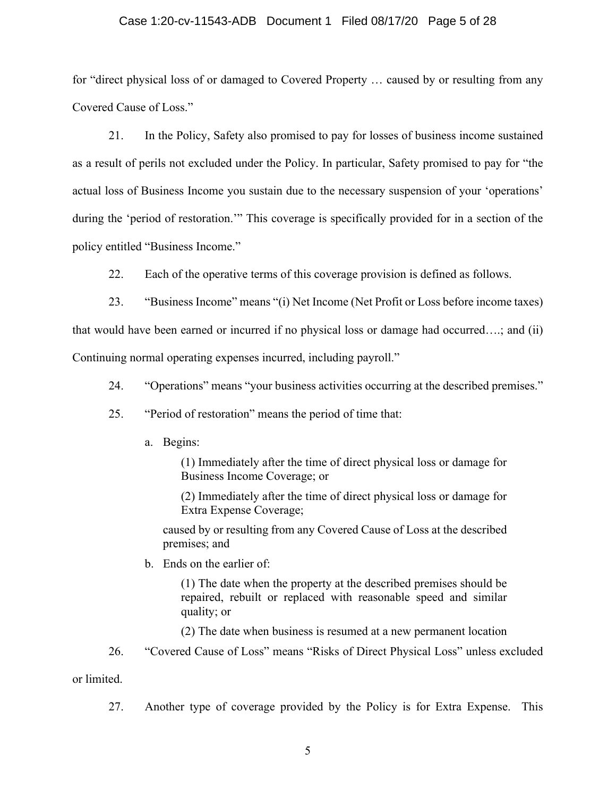## Case 1:20-cv-11543-ADB Document 1 Filed 08/17/20 Page 5 of 28

for "direct physical loss of or damaged to Covered Property … caused by or resulting from any Covered Cause of Loss."

21. In the Policy, Safety also promised to pay for losses of business income sustained as a result of perils not excluded under the Policy. In particular, Safety promised to pay for "the actual loss of Business Income you sustain due to the necessary suspension of your 'operations' during the 'period of restoration.'" This coverage is specifically provided for in a section of the policy entitled "Business Income."

22. Each of the operative terms of this coverage provision is defined as follows.

23. "Business Income" means "(i) Net Income (Net Profit or Loss before income taxes)

that would have been earned or incurred if no physical loss or damage had occurred….; and (ii)

Continuing normal operating expenses incurred, including payroll."

- 24. "Operations" means "your business activities occurring at the described premises."
- 25. "Period of restoration" means the period of time that:
	- a. Begins:

(1) Immediately after the time of direct physical loss or damage for Business Income Coverage; or

(2) Immediately after the time of direct physical loss or damage for Extra Expense Coverage;

caused by or resulting from any Covered Cause of Loss at the described premises; and

b. Ends on the earlier of:

(1) The date when the property at the described premises should be repaired, rebuilt or replaced with reasonable speed and similar quality; or

(2) The date when business is resumed at a new permanent location

26. "Covered Cause of Loss" means "Risks of Direct Physical Loss" unless excluded

or limited.

27. Another type of coverage provided by the Policy is for Extra Expense. This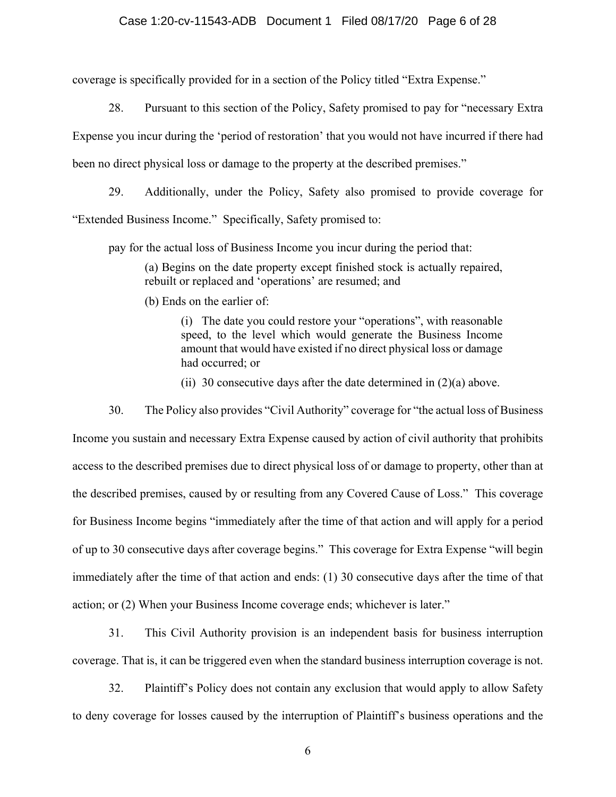## Case 1:20-cv-11543-ADB Document 1 Filed 08/17/20 Page 6 of 28

coverage is specifically provided for in a section of the Policy titled "Extra Expense."

28. Pursuant to this section of the Policy, Safety promised to pay for "necessary Extra Expense you incur during the 'period of restoration' that you would not have incurred if there had been no direct physical loss or damage to the property at the described premises."

29. Additionally, under the Policy, Safety also promised to provide coverage for "Extended Business Income." Specifically, Safety promised to:

pay for the actual loss of Business Income you incur during the period that:

(a) Begins on the date property except finished stock is actually repaired, rebuilt or replaced and 'operations' are resumed; and

(b) Ends on the earlier of:

(i) The date you could restore your "operations", with reasonable speed, to the level which would generate the Business Income amount that would have existed if no direct physical loss or damage had occurred; or

(ii) 30 consecutive days after the date determined in  $(2)(a)$  above.

30. The Policy also provides "Civil Authority" coverage for "the actual loss of Business Income you sustain and necessary Extra Expense caused by action of civil authority that prohibits access to the described premises due to direct physical loss of or damage to property, other than at the described premises, caused by or resulting from any Covered Cause of Loss." This coverage for Business Income begins "immediately after the time of that action and will apply for a period of up to 30 consecutive days after coverage begins." This coverage for Extra Expense "will begin immediately after the time of that action and ends: (1) 30 consecutive days after the time of that action; or (2) When your Business Income coverage ends; whichever is later."

31. This Civil Authority provision is an independent basis for business interruption coverage. That is, it can be triggered even when the standard business interruption coverage is not.

32. Plaintiff's Policy does not contain any exclusion that would apply to allow Safety to deny coverage for losses caused by the interruption of Plaintiff's business operations and the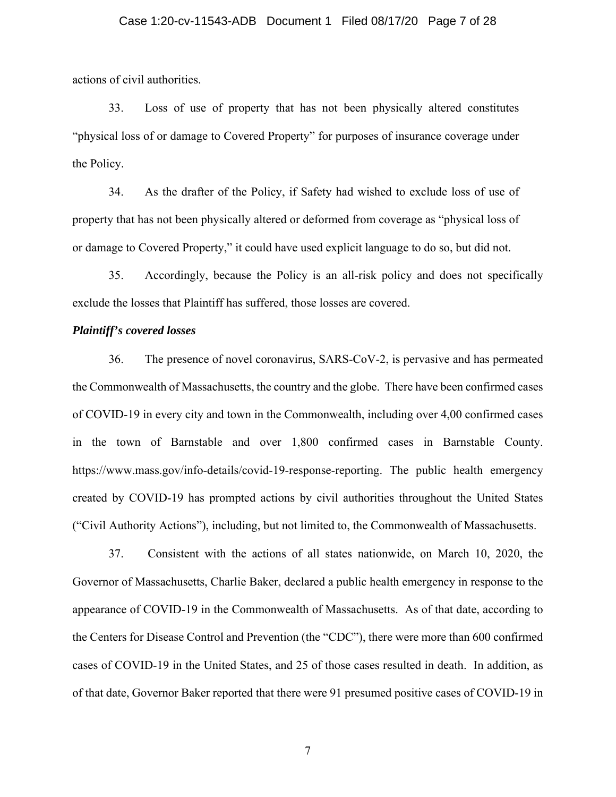## Case 1:20-cv-11543-ADB Document 1 Filed 08/17/20 Page 7 of 28

actions of civil authorities.

33. Loss of use of property that has not been physically altered constitutes "physical loss of or damage to Covered Property" for purposes of insurance coverage under the Policy.

34. As the drafter of the Policy, if Safety had wished to exclude loss of use of property that has not been physically altered or deformed from coverage as "physical loss of or damage to Covered Property," it could have used explicit language to do so, but did not.

35. Accordingly, because the Policy is an all-risk policy and does not specifically exclude the losses that Plaintiff has suffered, those losses are covered.

## *Plaintiff's covered losses*

36. The presence of novel coronavirus, SARS-CoV-2, is pervasive and has permeated the Commonwealth of Massachusetts, the country and the globe. There have been confirmed cases of COVID-19 in every city and town in the Commonwealth, including over 4,00 confirmed cases in the town of Barnstable and over 1,800 confirmed cases in Barnstable County. https://www.mass.gov/info-details/covid-19-response-reporting. The public health emergency created by COVID-19 has prompted actions by civil authorities throughout the United States ("Civil Authority Actions"), including, but not limited to, the Commonwealth of Massachusetts.

37. Consistent with the actions of all states nationwide, on March 10, 2020, the Governor of Massachusetts, Charlie Baker, declared a public health emergency in response to the appearance of COVID-19 in the Commonwealth of Massachusetts. As of that date, according to the Centers for Disease Control and Prevention (the "CDC"), there were more than 600 confirmed cases of COVID-19 in the United States, and 25 of those cases resulted in death. In addition, as of that date, Governor Baker reported that there were 91 presumed positive cases of COVID-19 in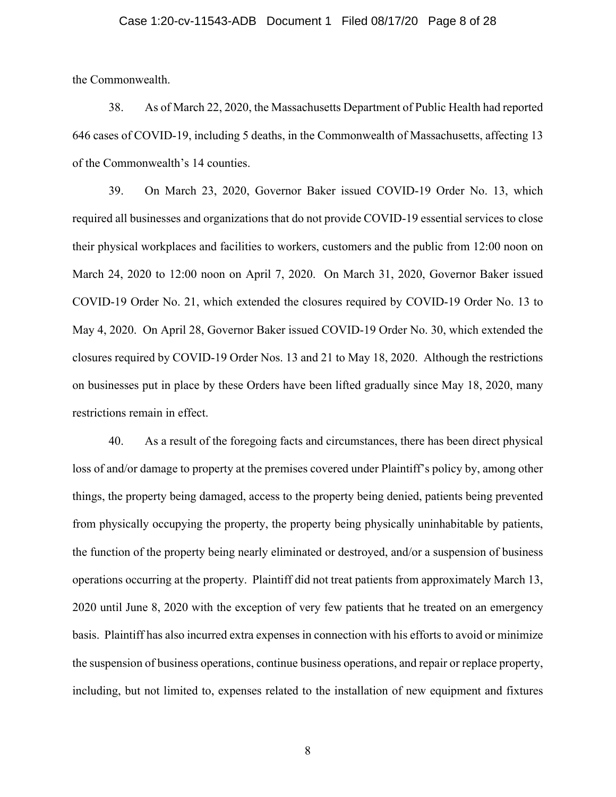#### Case 1:20-cv-11543-ADB Document 1 Filed 08/17/20 Page 8 of 28

the Commonwealth.

38. As of March 22, 2020, the Massachusetts Department of Public Health had reported 646 cases of COVID-19, including 5 deaths, in the Commonwealth of Massachusetts, affecting 13 of the Commonwealth's 14 counties.

39. On March 23, 2020, Governor Baker issued COVID-19 Order No. 13, which required all businesses and organizations that do not provide COVID-19 essential services to close their physical workplaces and facilities to workers, customers and the public from 12:00 noon on March 24, 2020 to 12:00 noon on April 7, 2020. On March 31, 2020, Governor Baker issued COVID-19 Order No. 21, which extended the closures required by COVID-19 Order No. 13 to May 4, 2020. On April 28, Governor Baker issued COVID-19 Order No. 30, which extended the closures required by COVID-19 Order Nos. 13 and 21 to May 18, 2020. Although the restrictions on businesses put in place by these Orders have been lifted gradually since May 18, 2020, many restrictions remain in effect.

40. As a result of the foregoing facts and circumstances, there has been direct physical loss of and/or damage to property at the premises covered under Plaintiff's policy by, among other things, the property being damaged, access to the property being denied, patients being prevented from physically occupying the property, the property being physically uninhabitable by patients, the function of the property being nearly eliminated or destroyed, and/or a suspension of business operations occurring at the property. Plaintiff did not treat patients from approximately March 13, 2020 until June 8, 2020 with the exception of very few patients that he treated on an emergency basis. Plaintiff has also incurred extra expenses in connection with his efforts to avoid or minimize the suspension of business operations, continue business operations, and repair or replace property, including, but not limited to, expenses related to the installation of new equipment and fixtures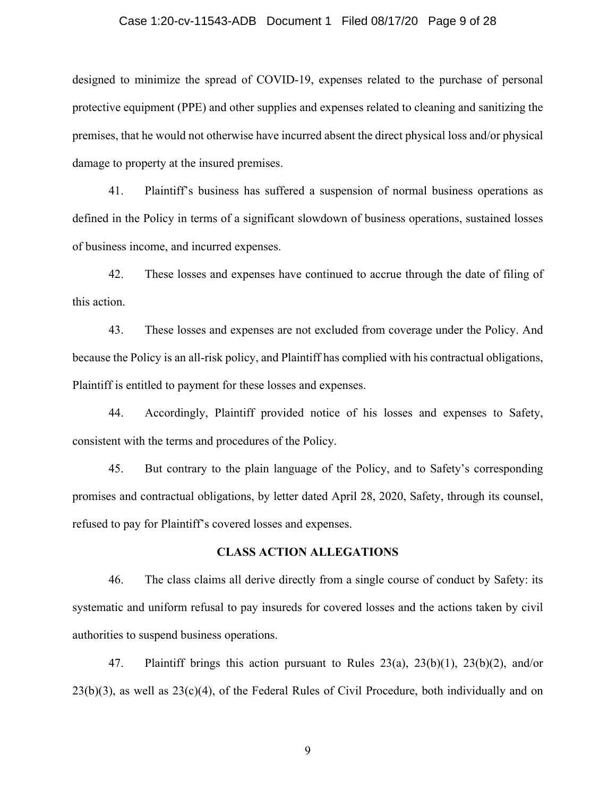## Case 1:20-cv-11543-ADB Document 1 Filed 08/17/20 Page 9 of 28

designed to minimize the spread of COVID-19, expenses related to the purchase of personal protective equipment (PPE) and other supplies and expenses related to cleaning and sanitizing the premises, that he would not otherwise have incurred absent the direct physical loss and/or physical damage to property at the insured premises.

41. Plaintiff's business has suffered a suspension of normal business operations as defined in the Policy in terms of a significant slowdown of business operations, sustained losses of business income, and incurred expenses.

42. These losses and expenses have continued to accrue through the date of filing of this action.

43. These losses and expenses are not excluded from coverage under the Policy. And because the Policy is an all-risk policy, and Plaintiff has complied with his contractual obligations, Plaintiff is entitled to payment for these losses and expenses.

44. Accordingly, Plaintiff provided notice of his losses and expenses to Safety, consistent with the terms and procedures of the Policy.

45. But contrary to the plain language of the Policy, and to Safety's corresponding promises and contractual obligations, by letter dated April 28, 2020, Safety, through its counsel, refused to pay for Plaintiff's covered losses and expenses.

## **CLASS ACTION ALLEGATIONS**

46. The class claims all derive directly from a single course of conduct by Safety: its systematic and uniform refusal to pay insureds for covered losses and the actions taken by civil authorities to suspend business operations.

47. Plaintiff brings this action pursuant to Rules 23(a), 23(b)(1), 23(b)(2), and/or  $23(b)(3)$ , as well as  $23(c)(4)$ , of the Federal Rules of Civil Procedure, both individually and on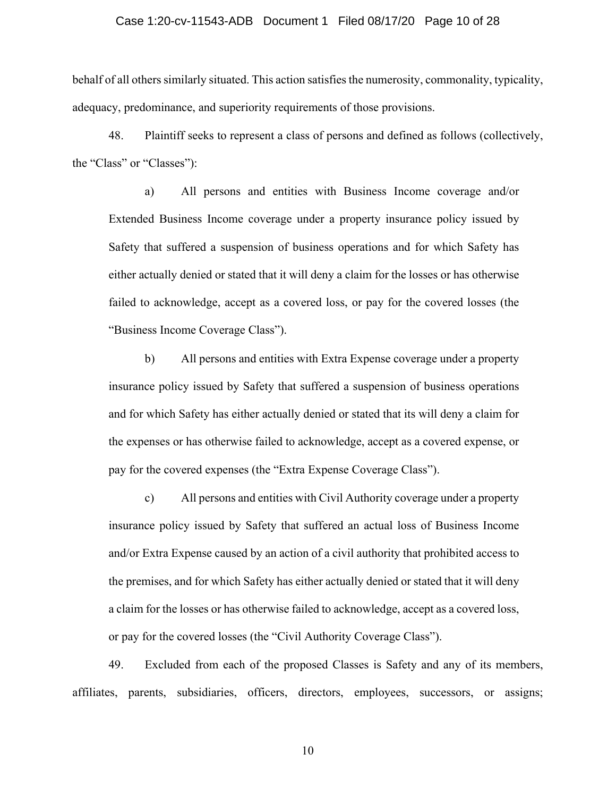## Case 1:20-cv-11543-ADB Document 1 Filed 08/17/20 Page 10 of 28

behalf of all others similarly situated. This action satisfies the numerosity, commonality, typicality, adequacy, predominance, and superiority requirements of those provisions.

48. Plaintiff seeks to represent a class of persons and defined as follows (collectively, the "Class" or "Classes"):

a) All persons and entities with Business Income coverage and/or Extended Business Income coverage under a property insurance policy issued by Safety that suffered a suspension of business operations and for which Safety has either actually denied or stated that it will deny a claim for the losses or has otherwise failed to acknowledge, accept as a covered loss, or pay for the covered losses (the "Business Income Coverage Class").

b) All persons and entities with Extra Expense coverage under a property insurance policy issued by Safety that suffered a suspension of business operations and for which Safety has either actually denied or stated that its will deny a claim for the expenses or has otherwise failed to acknowledge, accept as a covered expense, or pay for the covered expenses (the "Extra Expense Coverage Class").

c) All persons and entities with Civil Authority coverage under a property insurance policy issued by Safety that suffered an actual loss of Business Income and/or Extra Expense caused by an action of a civil authority that prohibited access to the premises, and for which Safety has either actually denied or stated that it will deny a claim for the losses or has otherwise failed to acknowledge, accept as a covered loss, or pay for the covered losses (the "Civil Authority Coverage Class").

49. Excluded from each of the proposed Classes is Safety and any of its members, affiliates, parents, subsidiaries, officers, directors, employees, successors, or assigns;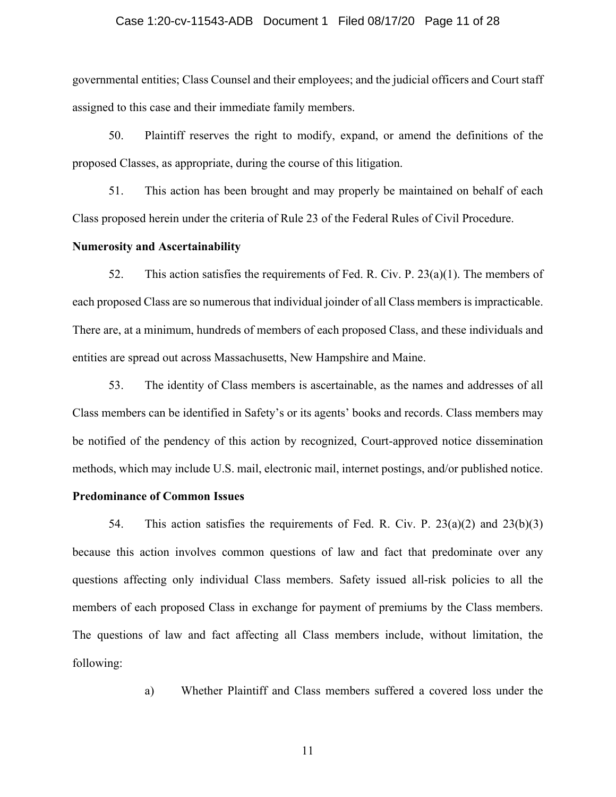## Case 1:20-cv-11543-ADB Document 1 Filed 08/17/20 Page 11 of 28

governmental entities; Class Counsel and their employees; and the judicial officers and Court staff assigned to this case and their immediate family members.

50. Plaintiff reserves the right to modify, expand, or amend the definitions of the proposed Classes, as appropriate, during the course of this litigation.

51. This action has been brought and may properly be maintained on behalf of each Class proposed herein under the criteria of Rule 23 of the Federal Rules of Civil Procedure.

## **Numerosity and Ascertainability**

52. This action satisfies the requirements of Fed. R. Civ. P.  $23(a)(1)$ . The members of each proposed Class are so numerous that individual joinder of all Class members is impracticable. There are, at a minimum, hundreds of members of each proposed Class, and these individuals and entities are spread out across Massachusetts, New Hampshire and Maine.

53. The identity of Class members is ascertainable, as the names and addresses of all Class members can be identified in Safety's or its agents' books and records. Class members may be notified of the pendency of this action by recognized, Court-approved notice dissemination methods, which may include U.S. mail, electronic mail, internet postings, and/or published notice.

## **Predominance of Common Issues**

54. This action satisfies the requirements of Fed. R. Civ. P.  $23(a)(2)$  and  $23(b)(3)$ because this action involves common questions of law and fact that predominate over any questions affecting only individual Class members. Safety issued all-risk policies to all the members of each proposed Class in exchange for payment of premiums by the Class members. The questions of law and fact affecting all Class members include, without limitation, the following:

a) Whether Plaintiff and Class members suffered a covered loss under the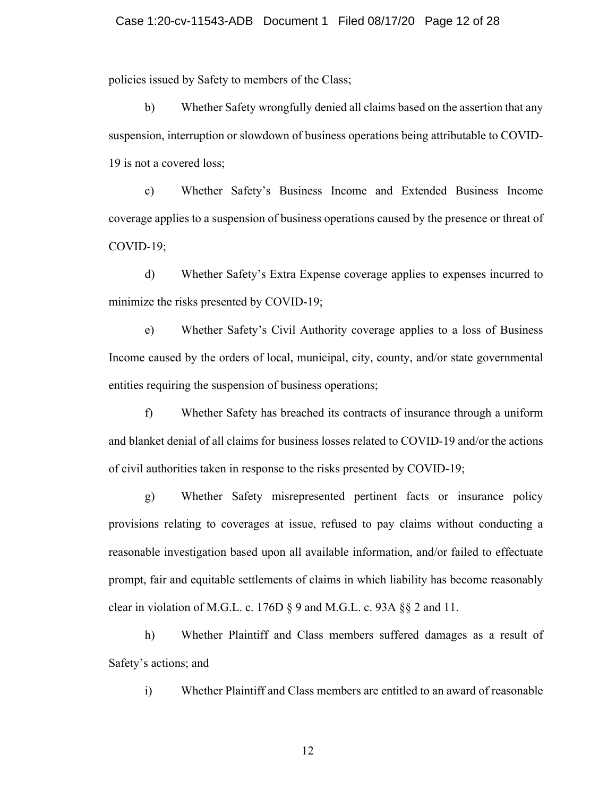policies issued by Safety to members of the Class;

b) Whether Safety wrongfully denied all claims based on the assertion that any suspension, interruption or slowdown of business operations being attributable to COVID-19 is not a covered loss;

c) Whether Safety's Business Income and Extended Business Income coverage applies to a suspension of business operations caused by the presence or threat of COVID-19;

d) Whether Safety's Extra Expense coverage applies to expenses incurred to minimize the risks presented by COVID-19;

e) Whether Safety's Civil Authority coverage applies to a loss of Business Income caused by the orders of local, municipal, city, county, and/or state governmental entities requiring the suspension of business operations;

f) Whether Safety has breached its contracts of insurance through a uniform and blanket denial of all claims for business losses related to COVID-19 and/or the actions of civil authorities taken in response to the risks presented by COVID-19;

g) Whether Safety misrepresented pertinent facts or insurance policy provisions relating to coverages at issue, refused to pay claims without conducting a reasonable investigation based upon all available information, and/or failed to effectuate prompt, fair and equitable settlements of claims in which liability has become reasonably clear in violation of M.G.L. c. 176D § 9 and M.G.L. c. 93A §§ 2 and 11.

h) Whether Plaintiff and Class members suffered damages as a result of Safety's actions; and

i) Whether Plaintiff and Class members are entitled to an award of reasonable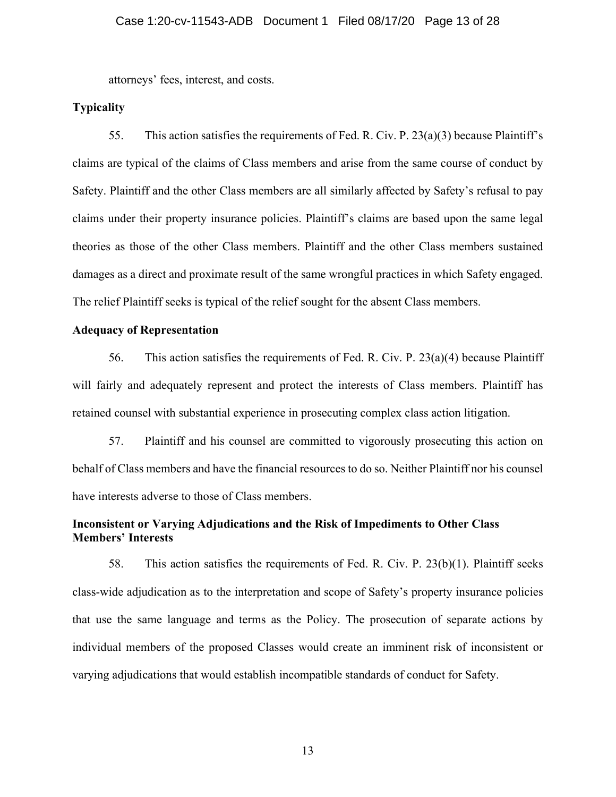attorneys' fees, interest, and costs.

## **Typicality**

55. This action satisfies the requirements of Fed. R. Civ. P. 23(a)(3) because Plaintiff's claims are typical of the claims of Class members and arise from the same course of conduct by Safety. Plaintiff and the other Class members are all similarly affected by Safety's refusal to pay claims under their property insurance policies. Plaintiff's claims are based upon the same legal theories as those of the other Class members. Plaintiff and the other Class members sustained damages as a direct and proximate result of the same wrongful practices in which Safety engaged. The relief Plaintiff seeks is typical of the relief sought for the absent Class members.

## **Adequacy of Representation**

56. This action satisfies the requirements of Fed. R. Civ. P. 23(a)(4) because Plaintiff will fairly and adequately represent and protect the interests of Class members. Plaintiff has retained counsel with substantial experience in prosecuting complex class action litigation.

57. Plaintiff and his counsel are committed to vigorously prosecuting this action on behalf of Class members and have the financial resources to do so. Neither Plaintiff nor his counsel have interests adverse to those of Class members.

## **Inconsistent or Varying Adjudications and the Risk of Impediments to Other Class Members' Interests**

58. This action satisfies the requirements of Fed. R. Civ. P. 23(b)(1). Plaintiff seeks class-wide adjudication as to the interpretation and scope of Safety's property insurance policies that use the same language and terms as the Policy. The prosecution of separate actions by individual members of the proposed Classes would create an imminent risk of inconsistent or varying adjudications that would establish incompatible standards of conduct for Safety.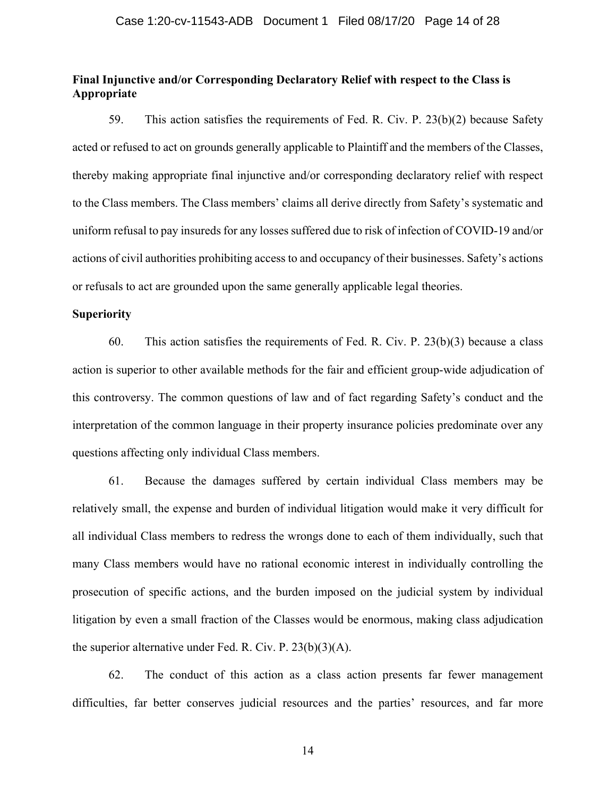## **Final Injunctive and/or Corresponding Declaratory Relief with respect to the Class is Appropriate**

59. This action satisfies the requirements of Fed. R. Civ. P. 23(b)(2) because Safety acted or refused to act on grounds generally applicable to Plaintiff and the members of the Classes, thereby making appropriate final injunctive and/or corresponding declaratory relief with respect to the Class members. The Class members' claims all derive directly from Safety's systematic and uniform refusal to pay insureds for any losses suffered due to risk of infection of COVID-19 and/or actions of civil authorities prohibiting access to and occupancy of their businesses. Safety's actions or refusals to act are grounded upon the same generally applicable legal theories.

#### **Superiority**

60. This action satisfies the requirements of Fed. R. Civ. P. 23(b)(3) because a class action is superior to other available methods for the fair and efficient group-wide adjudication of this controversy. The common questions of law and of fact regarding Safety's conduct and the interpretation of the common language in their property insurance policies predominate over any questions affecting only individual Class members.

61. Because the damages suffered by certain individual Class members may be relatively small, the expense and burden of individual litigation would make it very difficult for all individual Class members to redress the wrongs done to each of them individually, such that many Class members would have no rational economic interest in individually controlling the prosecution of specific actions, and the burden imposed on the judicial system by individual litigation by even a small fraction of the Classes would be enormous, making class adjudication the superior alternative under Fed. R. Civ. P. 23(b)(3)(A).

62. The conduct of this action as a class action presents far fewer management difficulties, far better conserves judicial resources and the parties' resources, and far more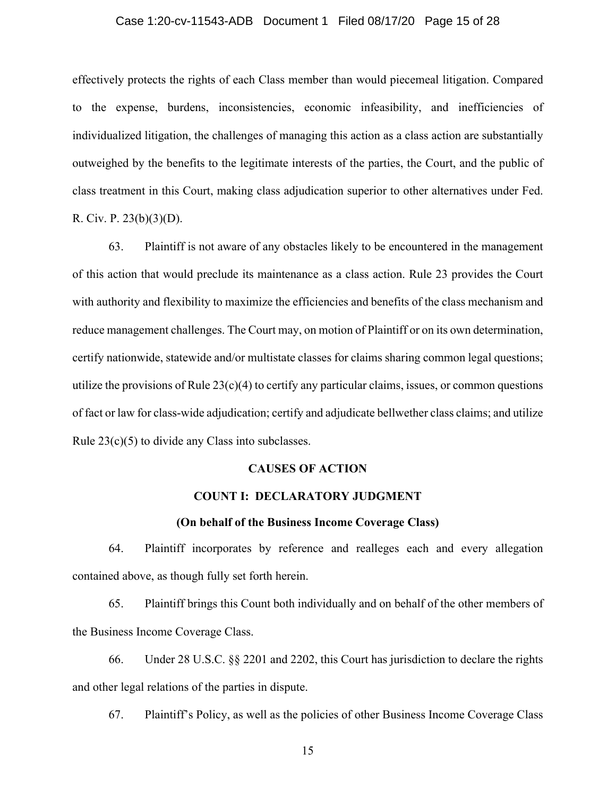## Case 1:20-cv-11543-ADB Document 1 Filed 08/17/20 Page 15 of 28

effectively protects the rights of each Class member than would piecemeal litigation. Compared to the expense, burdens, inconsistencies, economic infeasibility, and inefficiencies of individualized litigation, the challenges of managing this action as a class action are substantially outweighed by the benefits to the legitimate interests of the parties, the Court, and the public of class treatment in this Court, making class adjudication superior to other alternatives under Fed. R. Civ. P. 23(b)(3)(D).

63. Plaintiff is not aware of any obstacles likely to be encountered in the management of this action that would preclude its maintenance as a class action. Rule 23 provides the Court with authority and flexibility to maximize the efficiencies and benefits of the class mechanism and reduce management challenges. The Court may, on motion of Plaintiff or on its own determination, certify nationwide, statewide and/or multistate classes for claims sharing common legal questions; utilize the provisions of Rule  $23(c)(4)$  to certify any particular claims, issues, or common questions of fact or law for class-wide adjudication; certify and adjudicate bellwether class claims; and utilize Rule 23(c)(5) to divide any Class into subclasses.

## **CAUSES OF ACTION**

## **COUNT I: DECLARATORY JUDGMENT**

## **(On behalf of the Business Income Coverage Class)**

64. Plaintiff incorporates by reference and realleges each and every allegation contained above, as though fully set forth herein.

65. Plaintiff brings this Count both individually and on behalf of the other members of the Business Income Coverage Class.

66. Under 28 U.S.C. §§ 2201 and 2202, this Court has jurisdiction to declare the rights and other legal relations of the parties in dispute.

67. Plaintiff's Policy, as well as the policies of other Business Income Coverage Class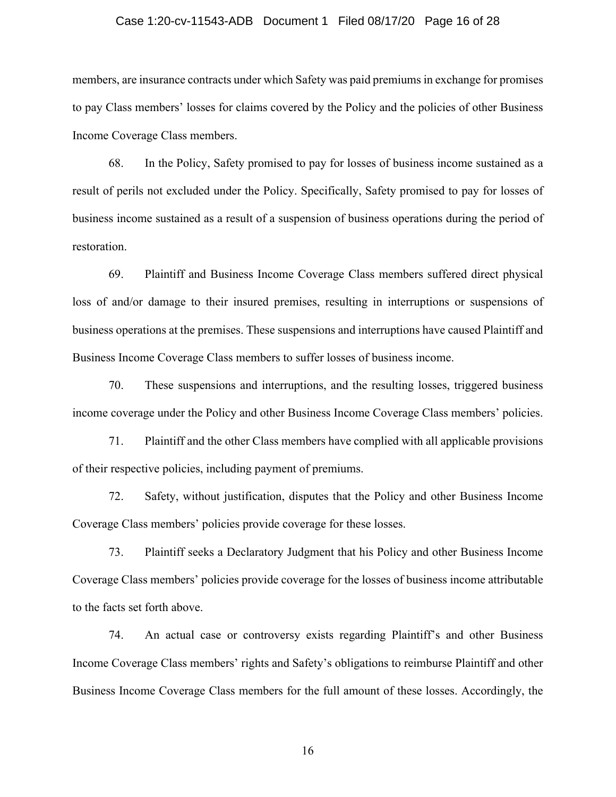## Case 1:20-cv-11543-ADB Document 1 Filed 08/17/20 Page 16 of 28

members, are insurance contracts under which Safety was paid premiums in exchange for promises to pay Class members' losses for claims covered by the Policy and the policies of other Business Income Coverage Class members.

68. In the Policy, Safety promised to pay for losses of business income sustained as a result of perils not excluded under the Policy. Specifically, Safety promised to pay for losses of business income sustained as a result of a suspension of business operations during the period of restoration.

69. Plaintiff and Business Income Coverage Class members suffered direct physical loss of and/or damage to their insured premises, resulting in interruptions or suspensions of business operations at the premises. These suspensions and interruptions have caused Plaintiff and Business Income Coverage Class members to suffer losses of business income.

70. These suspensions and interruptions, and the resulting losses, triggered business income coverage under the Policy and other Business Income Coverage Class members' policies.

71. Plaintiff and the other Class members have complied with all applicable provisions of their respective policies, including payment of premiums.

72. Safety, without justification, disputes that the Policy and other Business Income Coverage Class members' policies provide coverage for these losses.

73. Plaintiff seeks a Declaratory Judgment that his Policy and other Business Income Coverage Class members' policies provide coverage for the losses of business income attributable to the facts set forth above.

74. An actual case or controversy exists regarding Plaintiff's and other Business Income Coverage Class members' rights and Safety's obligations to reimburse Plaintiff and other Business Income Coverage Class members for the full amount of these losses. Accordingly, the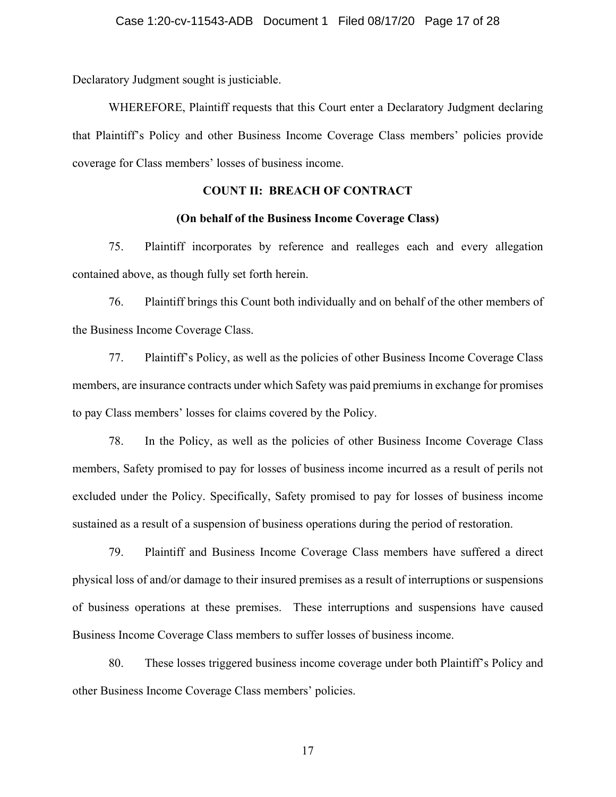Declaratory Judgment sought is justiciable.

WHEREFORE, Plaintiff requests that this Court enter a Declaratory Judgment declaring that Plaintiff's Policy and other Business Income Coverage Class members' policies provide coverage for Class members' losses of business income.

## **COUNT II: BREACH OF CONTRACT**

## **(On behalf of the Business Income Coverage Class)**

75. Plaintiff incorporates by reference and realleges each and every allegation contained above, as though fully set forth herein.

76. Plaintiff brings this Count both individually and on behalf of the other members of the Business Income Coverage Class.

77. Plaintiff's Policy, as well as the policies of other Business Income Coverage Class members, are insurance contracts under which Safety was paid premiums in exchange for promises to pay Class members' losses for claims covered by the Policy.

78. In the Policy, as well as the policies of other Business Income Coverage Class members, Safety promised to pay for losses of business income incurred as a result of perils not excluded under the Policy. Specifically, Safety promised to pay for losses of business income sustained as a result of a suspension of business operations during the period of restoration.

79. Plaintiff and Business Income Coverage Class members have suffered a direct physical loss of and/or damage to their insured premises as a result of interruptions or suspensions of business operations at these premises. These interruptions and suspensions have caused Business Income Coverage Class members to suffer losses of business income.

80. These losses triggered business income coverage under both Plaintiff's Policy and other Business Income Coverage Class members' policies.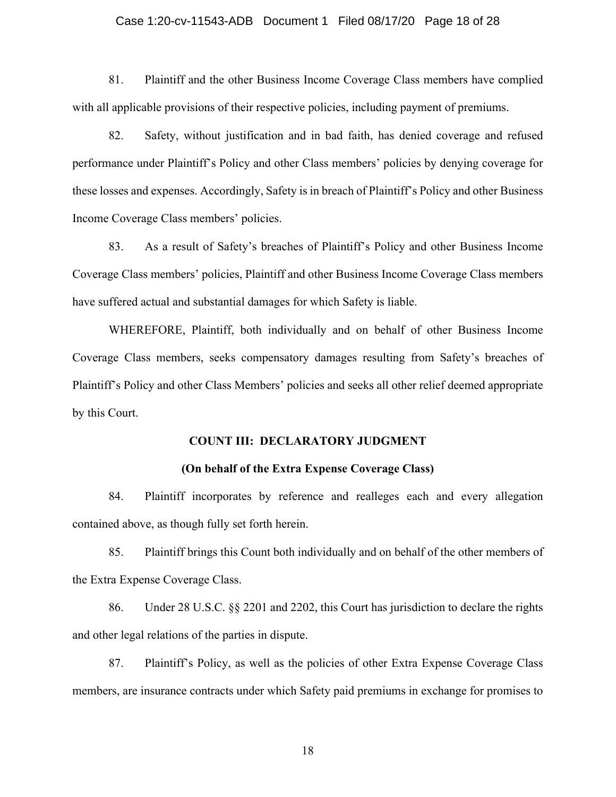## Case 1:20-cv-11543-ADB Document 1 Filed 08/17/20 Page 18 of 28

81. Plaintiff and the other Business Income Coverage Class members have complied with all applicable provisions of their respective policies, including payment of premiums.

82. Safety, without justification and in bad faith, has denied coverage and refused performance under Plaintiff's Policy and other Class members' policies by denying coverage for these losses and expenses. Accordingly, Safety is in breach of Plaintiff's Policy and other Business Income Coverage Class members' policies.

83. As a result of Safety's breaches of Plaintiff's Policy and other Business Income Coverage Class members' policies, Plaintiff and other Business Income Coverage Class members have suffered actual and substantial damages for which Safety is liable.

WHEREFORE, Plaintiff, both individually and on behalf of other Business Income Coverage Class members, seeks compensatory damages resulting from Safety's breaches of Plaintiff's Policy and other Class Members' policies and seeks all other relief deemed appropriate by this Court.

## **COUNT III: DECLARATORY JUDGMENT**

## **(On behalf of the Extra Expense Coverage Class)**

84. Plaintiff incorporates by reference and realleges each and every allegation contained above, as though fully set forth herein.

85. Plaintiff brings this Count both individually and on behalf of the other members of the Extra Expense Coverage Class.

86. Under 28 U.S.C. §§ 2201 and 2202, this Court has jurisdiction to declare the rights and other legal relations of the parties in dispute.

87. Plaintiff's Policy, as well as the policies of other Extra Expense Coverage Class members, are insurance contracts under which Safety paid premiums in exchange for promises to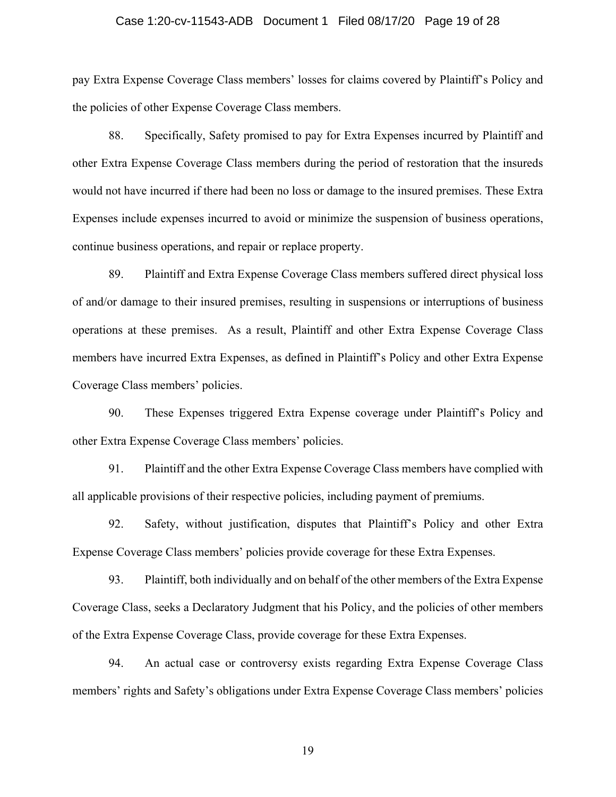## Case 1:20-cv-11543-ADB Document 1 Filed 08/17/20 Page 19 of 28

pay Extra Expense Coverage Class members' losses for claims covered by Plaintiff's Policy and the policies of other Expense Coverage Class members.

88. Specifically, Safety promised to pay for Extra Expenses incurred by Plaintiff and other Extra Expense Coverage Class members during the period of restoration that the insureds would not have incurred if there had been no loss or damage to the insured premises. These Extra Expenses include expenses incurred to avoid or minimize the suspension of business operations, continue business operations, and repair or replace property.

89. Plaintiff and Extra Expense Coverage Class members suffered direct physical loss of and/or damage to their insured premises, resulting in suspensions or interruptions of business operations at these premises. As a result, Plaintiff and other Extra Expense Coverage Class members have incurred Extra Expenses, as defined in Plaintiff's Policy and other Extra Expense Coverage Class members' policies.

90. These Expenses triggered Extra Expense coverage under Plaintiff's Policy and other Extra Expense Coverage Class members' policies.

91. Plaintiff and the other Extra Expense Coverage Class members have complied with all applicable provisions of their respective policies, including payment of premiums.

92. Safety, without justification, disputes that Plaintiff's Policy and other Extra Expense Coverage Class members' policies provide coverage for these Extra Expenses.

93. Plaintiff, both individually and on behalf of the other members of the Extra Expense Coverage Class, seeks a Declaratory Judgment that his Policy, and the policies of other members of the Extra Expense Coverage Class, provide coverage for these Extra Expenses.

94. An actual case or controversy exists regarding Extra Expense Coverage Class members' rights and Safety's obligations under Extra Expense Coverage Class members' policies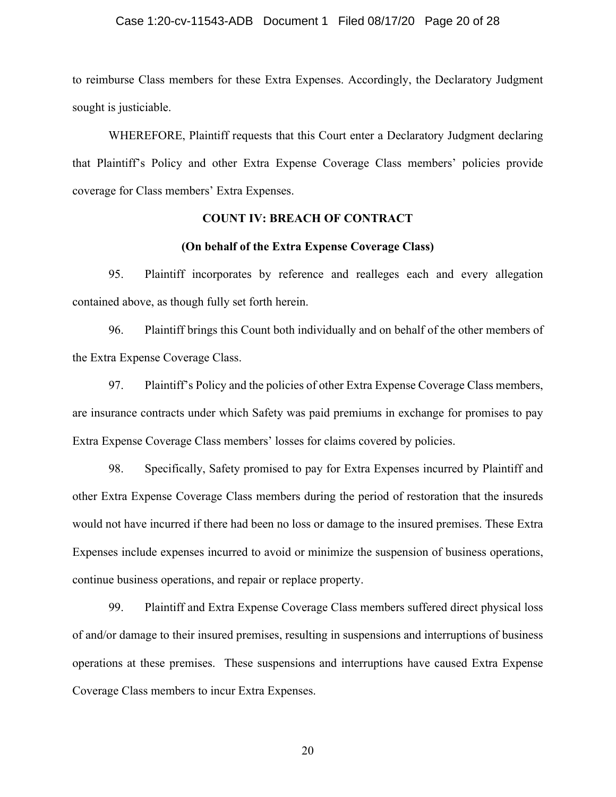## Case 1:20-cv-11543-ADB Document 1 Filed 08/17/20 Page 20 of 28

to reimburse Class members for these Extra Expenses. Accordingly, the Declaratory Judgment sought is justiciable.

WHEREFORE, Plaintiff requests that this Court enter a Declaratory Judgment declaring that Plaintiff's Policy and other Extra Expense Coverage Class members' policies provide coverage for Class members' Extra Expenses.

## **COUNT IV: BREACH OF CONTRACT**

## **(On behalf of the Extra Expense Coverage Class)**

95. Plaintiff incorporates by reference and realleges each and every allegation contained above, as though fully set forth herein.

96. Plaintiff brings this Count both individually and on behalf of the other members of the Extra Expense Coverage Class.

97. Plaintiff's Policy and the policies of other Extra Expense Coverage Class members, are insurance contracts under which Safety was paid premiums in exchange for promises to pay Extra Expense Coverage Class members' losses for claims covered by policies.

98. Specifically, Safety promised to pay for Extra Expenses incurred by Plaintiff and other Extra Expense Coverage Class members during the period of restoration that the insureds would not have incurred if there had been no loss or damage to the insured premises. These Extra Expenses include expenses incurred to avoid or minimize the suspension of business operations, continue business operations, and repair or replace property.

99. Plaintiff and Extra Expense Coverage Class members suffered direct physical loss of and/or damage to their insured premises, resulting in suspensions and interruptions of business operations at these premises. These suspensions and interruptions have caused Extra Expense Coverage Class members to incur Extra Expenses.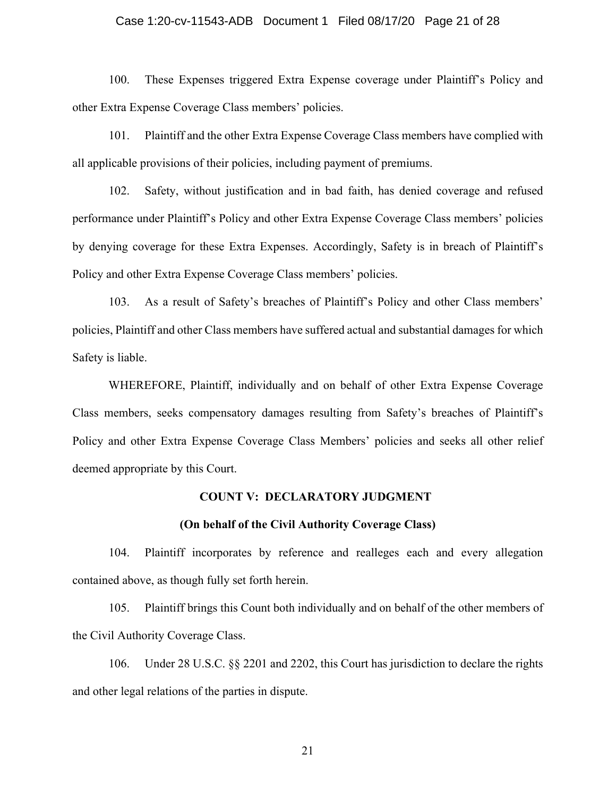## Case 1:20-cv-11543-ADB Document 1 Filed 08/17/20 Page 21 of 28

100. These Expenses triggered Extra Expense coverage under Plaintiff's Policy and other Extra Expense Coverage Class members' policies.

101. Plaintiff and the other Extra Expense Coverage Class members have complied with all applicable provisions of their policies, including payment of premiums.

102. Safety, without justification and in bad faith, has denied coverage and refused performance under Plaintiff's Policy and other Extra Expense Coverage Class members' policies by denying coverage for these Extra Expenses. Accordingly, Safety is in breach of Plaintiff's Policy and other Extra Expense Coverage Class members' policies.

103. As a result of Safety's breaches of Plaintiff's Policy and other Class members' policies, Plaintiff and other Class members have suffered actual and substantial damages for which Safety is liable.

WHEREFORE, Plaintiff, individually and on behalf of other Extra Expense Coverage Class members, seeks compensatory damages resulting from Safety's breaches of Plaintiff's Policy and other Extra Expense Coverage Class Members' policies and seeks all other relief deemed appropriate by this Court.

#### **COUNT V: DECLARATORY JUDGMENT**

#### **(On behalf of the Civil Authority Coverage Class)**

104. Plaintiff incorporates by reference and realleges each and every allegation contained above, as though fully set forth herein.

105. Plaintiff brings this Count both individually and on behalf of the other members of the Civil Authority Coverage Class.

106. Under 28 U.S.C. §§ 2201 and 2202, this Court has jurisdiction to declare the rights and other legal relations of the parties in dispute.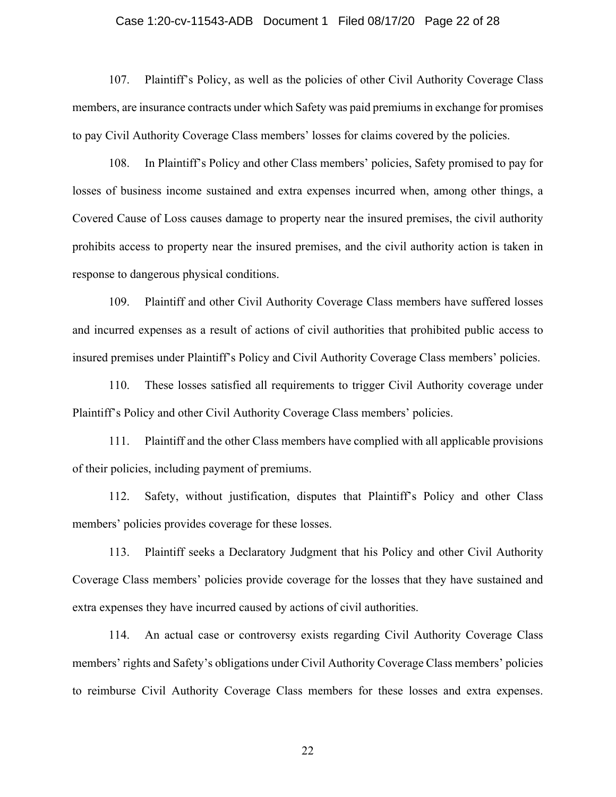## Case 1:20-cv-11543-ADB Document 1 Filed 08/17/20 Page 22 of 28

107. Plaintiff's Policy, as well as the policies of other Civil Authority Coverage Class members, are insurance contracts under which Safety was paid premiums in exchange for promises to pay Civil Authority Coverage Class members' losses for claims covered by the policies.

108. In Plaintiff's Policy and other Class members' policies, Safety promised to pay for losses of business income sustained and extra expenses incurred when, among other things, a Covered Cause of Loss causes damage to property near the insured premises, the civil authority prohibits access to property near the insured premises, and the civil authority action is taken in response to dangerous physical conditions.

109. Plaintiff and other Civil Authority Coverage Class members have suffered losses and incurred expenses as a result of actions of civil authorities that prohibited public access to insured premises under Plaintiff's Policy and Civil Authority Coverage Class members' policies.

110. These losses satisfied all requirements to trigger Civil Authority coverage under Plaintiff's Policy and other Civil Authority Coverage Class members' policies.

111. Plaintiff and the other Class members have complied with all applicable provisions of their policies, including payment of premiums.

112. Safety, without justification, disputes that Plaintiff's Policy and other Class members' policies provides coverage for these losses.

113. Plaintiff seeks a Declaratory Judgment that his Policy and other Civil Authority Coverage Class members' policies provide coverage for the losses that they have sustained and extra expenses they have incurred caused by actions of civil authorities.

114. An actual case or controversy exists regarding Civil Authority Coverage Class members' rights and Safety's obligations under Civil Authority Coverage Class members' policies to reimburse Civil Authority Coverage Class members for these losses and extra expenses.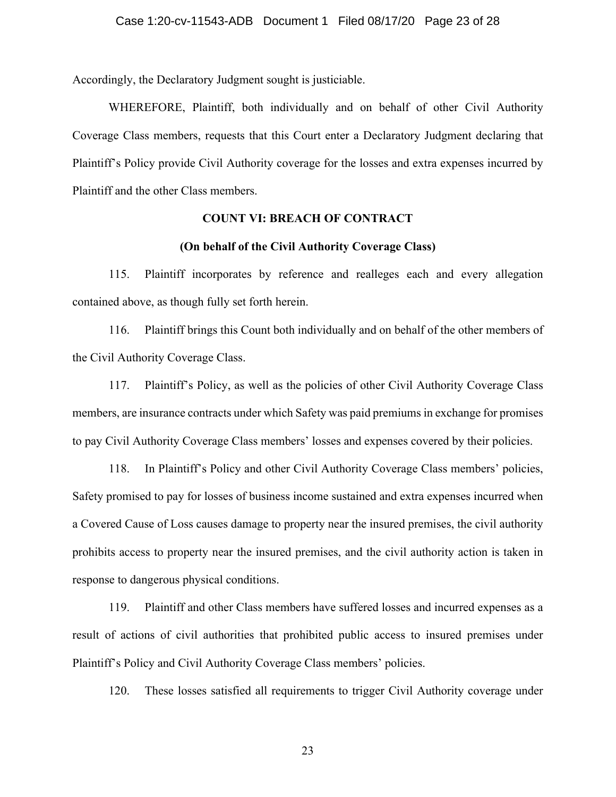Accordingly, the Declaratory Judgment sought is justiciable.

WHEREFORE, Plaintiff, both individually and on behalf of other Civil Authority Coverage Class members, requests that this Court enter a Declaratory Judgment declaring that Plaintiff's Policy provide Civil Authority coverage for the losses and extra expenses incurred by Plaintiff and the other Class members.

## **COUNT VI: BREACH OF CONTRACT**

## **(On behalf of the Civil Authority Coverage Class)**

115. Plaintiff incorporates by reference and realleges each and every allegation contained above, as though fully set forth herein.

116. Plaintiff brings this Count both individually and on behalf of the other members of the Civil Authority Coverage Class.

117. Plaintiff's Policy, as well as the policies of other Civil Authority Coverage Class members, are insurance contracts under which Safety was paid premiums in exchange for promises to pay Civil Authority Coverage Class members' losses and expenses covered by their policies.

118. In Plaintiff's Policy and other Civil Authority Coverage Class members' policies, Safety promised to pay for losses of business income sustained and extra expenses incurred when a Covered Cause of Loss causes damage to property near the insured premises, the civil authority prohibits access to property near the insured premises, and the civil authority action is taken in response to dangerous physical conditions.

119. Plaintiff and other Class members have suffered losses and incurred expenses as a result of actions of civil authorities that prohibited public access to insured premises under Plaintiff's Policy and Civil Authority Coverage Class members' policies.

120. These losses satisfied all requirements to trigger Civil Authority coverage under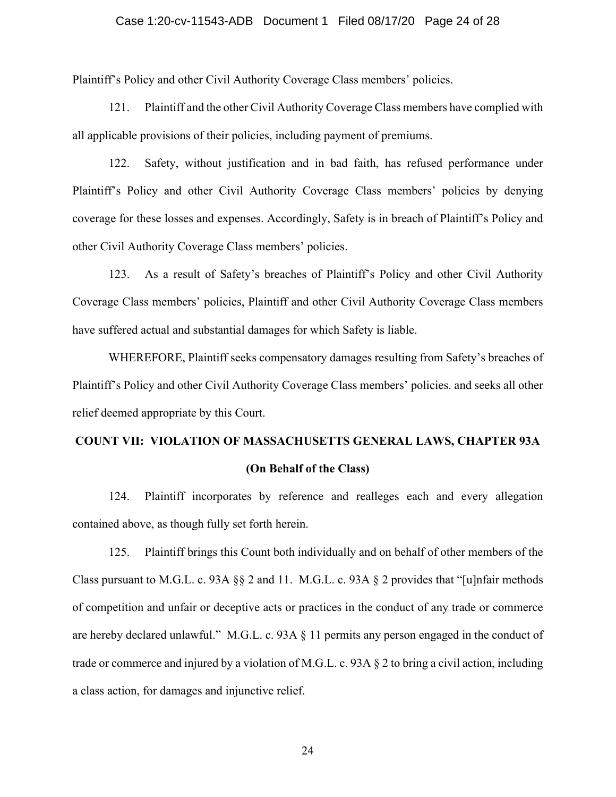## Case 1:20-cv-11543-ADB Document 1 Filed 08/17/20 Page 24 of 28

Plaintiff's Policy and other Civil Authority Coverage Class members' policies.

121. Plaintiff and the other Civil Authority Coverage Class members have complied with all applicable provisions of their policies, including payment of premiums.

122. Safety, without justification and in bad faith, has refused performance under Plaintiff's Policy and other Civil Authority Coverage Class members' policies by denying coverage for these losses and expenses. Accordingly, Safety is in breach of Plaintiff's Policy and other Civil Authority Coverage Class members' policies.

123. As a result of Safety's breaches of Plaintiff's Policy and other Civil Authority Coverage Class members' policies, Plaintiff and other Civil Authority Coverage Class members have suffered actual and substantial damages for which Safety is liable.

WHEREFORE, Plaintiff seeks compensatory damages resulting from Safety's breaches of Plaintiff's Policy and other Civil Authority Coverage Class members' policies. and seeks all other relief deemed appropriate by this Court.

# **COUNT VII: VIOLATION OF MASSACHUSETTS GENERAL LAWS, CHAPTER 93A (On Behalf of the Class)**

124. Plaintiff incorporates by reference and realleges each and every allegation contained above, as though fully set forth herein.

125. Plaintiff brings this Count both individually and on behalf of other members of the Class pursuant to M.G.L. c. 93A  $\S$  2 and 11. M.G.L. c. 93A  $\S$  2 provides that "[u]nfair methods of competition and unfair or deceptive acts or practices in the conduct of any trade or commerce are hereby declared unlawful." M.G.L. c. 93A § 11 permits any person engaged in the conduct of trade or commerce and injured by a violation of M.G.L. c. 93A § 2 to bring a civil action, including a class action, for damages and injunctive relief.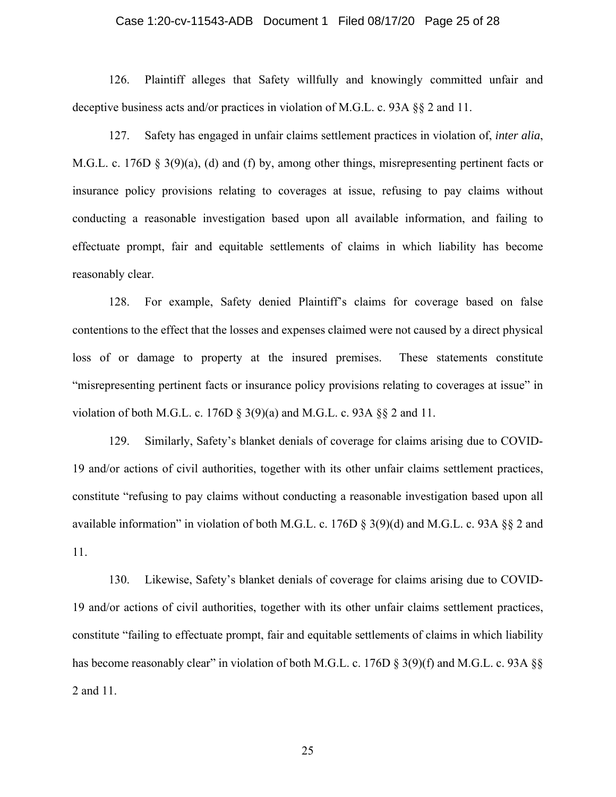## Case 1:20-cv-11543-ADB Document 1 Filed 08/17/20 Page 25 of 28

126. Plaintiff alleges that Safety willfully and knowingly committed unfair and deceptive business acts and/or practices in violation of M.G.L. c. 93A §§ 2 and 11.

127. Safety has engaged in unfair claims settlement practices in violation of, *inter alia*, M.G.L. c. 176D § 3(9)(a), (d) and (f) by, among other things, misrepresenting pertinent facts or insurance policy provisions relating to coverages at issue, refusing to pay claims without conducting a reasonable investigation based upon all available information, and failing to effectuate prompt, fair and equitable settlements of claims in which liability has become reasonably clear.

128. For example, Safety denied Plaintiff's claims for coverage based on false contentions to the effect that the losses and expenses claimed were not caused by a direct physical loss of or damage to property at the insured premises. These statements constitute "misrepresenting pertinent facts or insurance policy provisions relating to coverages at issue" in violation of both M.G.L. c. 176D  $\S$  3(9)(a) and M.G.L. c. 93A  $\S$  2 and 11.

129. Similarly, Safety's blanket denials of coverage for claims arising due to COVID-19 and/or actions of civil authorities, together with its other unfair claims settlement practices, constitute "refusing to pay claims without conducting a reasonable investigation based upon all available information" in violation of both M.G.L. c. 176D § 3(9)(d) and M.G.L. c. 93A §§ 2 and 11.

130. Likewise, Safety's blanket denials of coverage for claims arising due to COVID-19 and/or actions of civil authorities, together with its other unfair claims settlement practices, constitute "failing to effectuate prompt, fair and equitable settlements of claims in which liability has become reasonably clear" in violation of both M.G.L. c. 176D § 3(9)(f) and M.G.L. c. 93A §§ 2 and 11.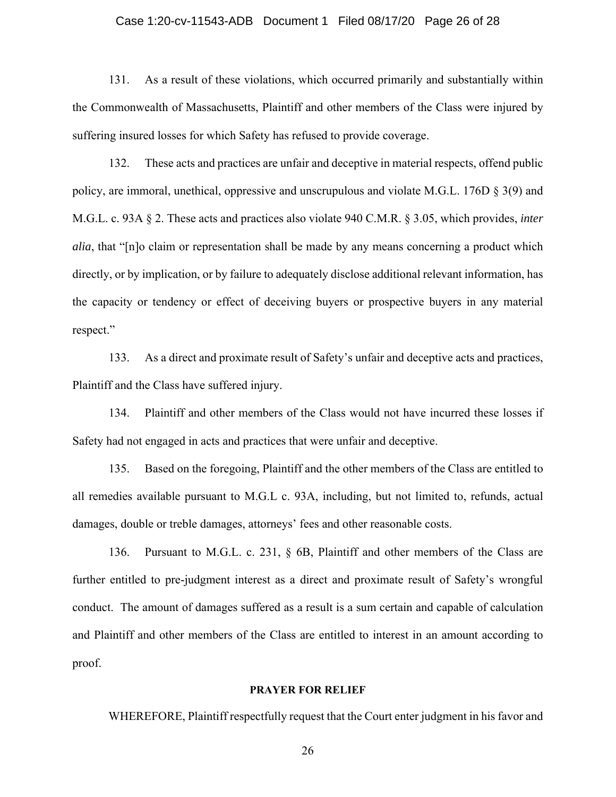## Case 1:20-cv-11543-ADB Document 1 Filed 08/17/20 Page 26 of 28

131. As a result of these violations, which occurred primarily and substantially within the Commonwealth of Massachusetts, Plaintiff and other members of the Class were injured by suffering insured losses for which Safety has refused to provide coverage.

132. These acts and practices are unfair and deceptive in material respects, offend public policy, are immoral, unethical, oppressive and unscrupulous and violate M.G.L. 176D § 3(9) and M.G.L. c. 93A § 2. These acts and practices also violate 940 C.M.R. § 3.05, which provides, *inter alia*, that "[n]o claim or representation shall be made by any means concerning a product which directly, or by implication, or by failure to adequately disclose additional relevant information, has the capacity or tendency or effect of deceiving buyers or prospective buyers in any material respect."

133. As a direct and proximate result of Safety's unfair and deceptive acts and practices, Plaintiff and the Class have suffered injury.

134. Plaintiff and other members of the Class would not have incurred these losses if Safety had not engaged in acts and practices that were unfair and deceptive.

135. Based on the foregoing, Plaintiff and the other members of the Class are entitled to all remedies available pursuant to M.G.L c. 93A, including, but not limited to, refunds, actual damages, double or treble damages, attorneys' fees and other reasonable costs.

136. Pursuant to M.G.L. c. 231, § 6B, Plaintiff and other members of the Class are further entitled to pre-judgment interest as a direct and proximate result of Safety's wrongful conduct. The amount of damages suffered as a result is a sum certain and capable of calculation and Plaintiff and other members of the Class are entitled to interest in an amount according to proof.

#### **PRAYER FOR RELIEF**

WHEREFORE, Plaintiff respectfully request that the Court enter judgment in his favor and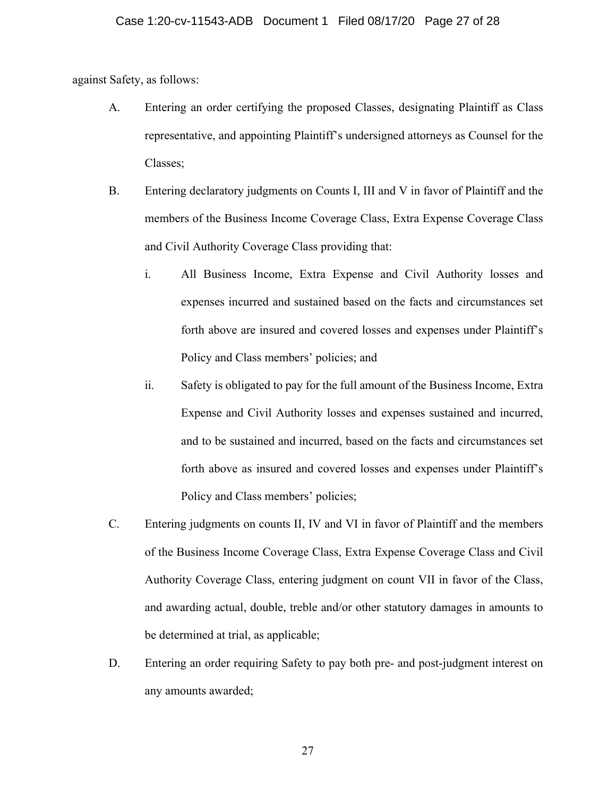against Safety, as follows:

- A. Entering an order certifying the proposed Classes, designating Plaintiff as Class representative, and appointing Plaintiff's undersigned attorneys as Counsel for the Classes;
- B. Entering declaratory judgments on Counts I, III and V in favor of Plaintiff and the members of the Business Income Coverage Class, Extra Expense Coverage Class and Civil Authority Coverage Class providing that:
	- i. All Business Income, Extra Expense and Civil Authority losses and expenses incurred and sustained based on the facts and circumstances set forth above are insured and covered losses and expenses under Plaintiff's Policy and Class members' policies; and
	- ii. Safety is obligated to pay for the full amount of the Business Income, Extra Expense and Civil Authority losses and expenses sustained and incurred, and to be sustained and incurred, based on the facts and circumstances set forth above as insured and covered losses and expenses under Plaintiff's Policy and Class members' policies;
- C. Entering judgments on counts II, IV and VI in favor of Plaintiff and the members of the Business Income Coverage Class, Extra Expense Coverage Class and Civil Authority Coverage Class, entering judgment on count VII in favor of the Class, and awarding actual, double, treble and/or other statutory damages in amounts to be determined at trial, as applicable;
- D. Entering an order requiring Safety to pay both pre- and post-judgment interest on any amounts awarded;